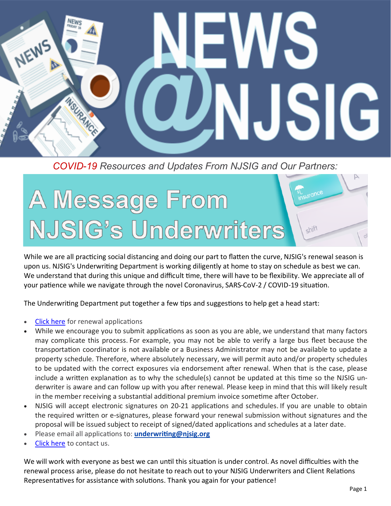

*COVID-19 Resources and Updates From NJSIG and Our Partners:*

# surance A Message From NJSIG's Underwriters shift

While we are all practicing social distancing and doing our part to flatten the curve, NJSIG's renewal season is upon us. NJSIG's Underwriting Department is working diligently at home to stay on schedule as best we can. We understand that during this unique and difficult time, there will have to be flexibility. We appreciate all of your patience while we navigate through the novel Coronavirus, SARS-CoV-2 / COVID-19 situation.

The Underwriting Department put together a few tips and suggestions to help get a head start:

- [Click here](https://www.njsig.org/applications) for renewal applications
- While we encourage you to submit applications as soon as you are able, we understand that many factors may complicate this process. For example, you may not be able to verify a large bus fleet because the transportation coordinator is not available or a Business Administrator may not be available to update a property schedule. Therefore, where absolutely necessary, we will permit auto and/or property schedules to be updated with the correct exposures via endorsement after renewal. When that is the case, please include a written explanation as to why the schedule(s) cannot be updated at this time so the NJSIG underwriter is aware and can follow up with you after renewal. Please keep in mind that this will likely result in the member receiving a substantial additional premium invoice sometime after October.
- NJSIG will accept electronic signatures on 20-21 applications and schedules. If you are unable to obtain the required written or e-signatures, please forward your renewal submission without signatures and the proposal will be issued subject to receipt of signed/dated applications and schedules at a later date.
- Please email all applications to: **underwriting@njsig.org**
- [Click here](https://www.njsig.org/contact/underwriting) to contact us.

We will work with everyone as best we can until this situation is under control. As novel difficulties with the renewal process arise, please do not hesitate to reach out to your NJSIG Underwriters and Client Relations Representatives for assistance with solutions. Thank you again for your patience!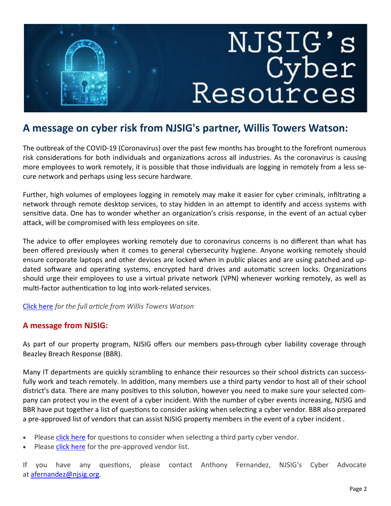# NJSIG's<br>Cyber<br>Resources

# **A message on cyber risk from NJSIG's partner, Willis Towers Watson:**

The outbreak of the COVID-19 (Coronavirus) over the past few months has brought to the forefront numerous risk considerations for both individuals and organizations across all industries. As the coronavirus is causing more employees to work remotely, it is possible that those individuals are logging in remotely from a less secure network and perhaps using less secure hardware.

Further, high volumes of employees logging in remotely may make it easier for cyber criminals, infiltrating a network through remote desktop services, to stay hidden in an attempt to identify and access systems with sensitive data. One has to wonder whether an organization's crisis response, in the event of an actual cyber attack, will be compromised with less employees on site.

The advice to offer employees working remotely due to coronavirus concerns is no different than what has been offered previously when it comes to general cybersecurity hygiene. Anyone working remotely should ensure corporate laptops and other devices are locked when in public places and are using patched and updated software and operating systems, encrypted hard drives and automatic screen locks. Organizations should urge their employees to use a virtual private network (VPN) whenever working remotely, as well as multi-factor authentication to log into work-related services.

### [Click here](https://www.willistowerswatson.com/en-US/Insights/2020/03/client-alert-cyber-risk-coronavirus-and-insurance-coverage) *for the full article from Willis Towers Watson*

### **A message from NJSIG:**

As part of our property program, NJSIG offers our members pass-through cyber liability coverage through Beazley Breach Response (BBR).

Many IT departments are quickly scrambling to enhance their resources so their school districts can successfully work and teach remotely. In addition, many members use a third party vendor to host all of their school district's data. There are many positives to this solution, however you need to make sure your selected company can protect you in the event of a cyber incident. With the number of cyber events increasing, NJSIG and BBR have put together a list of questions to consider asking when selecting a cyber vendor. BBR also prepared a pre-approved list of vendors that can assist NJSIG property members in the event of a cyber incident .

- Please [click here](https://files.constantcontact.com/b71f74b1101/e5aff5b6-5691-43bb-b5c8-1818c9c62077.pdf) for questions to consider when selecting a third party cyber vendor.
- Please [click here](https://files.constantcontact.com/b71f74b1101/fd85ee97-5fcd-4c69-905c-457a0185bdbd.pdf) for the pre-approved vendor list.

If you have any questions, please contact Anthony Fernandez, NJSIG's Cyber Advocate at [afernandez@njsig.org.](mailto:afernandez@njsig.org)